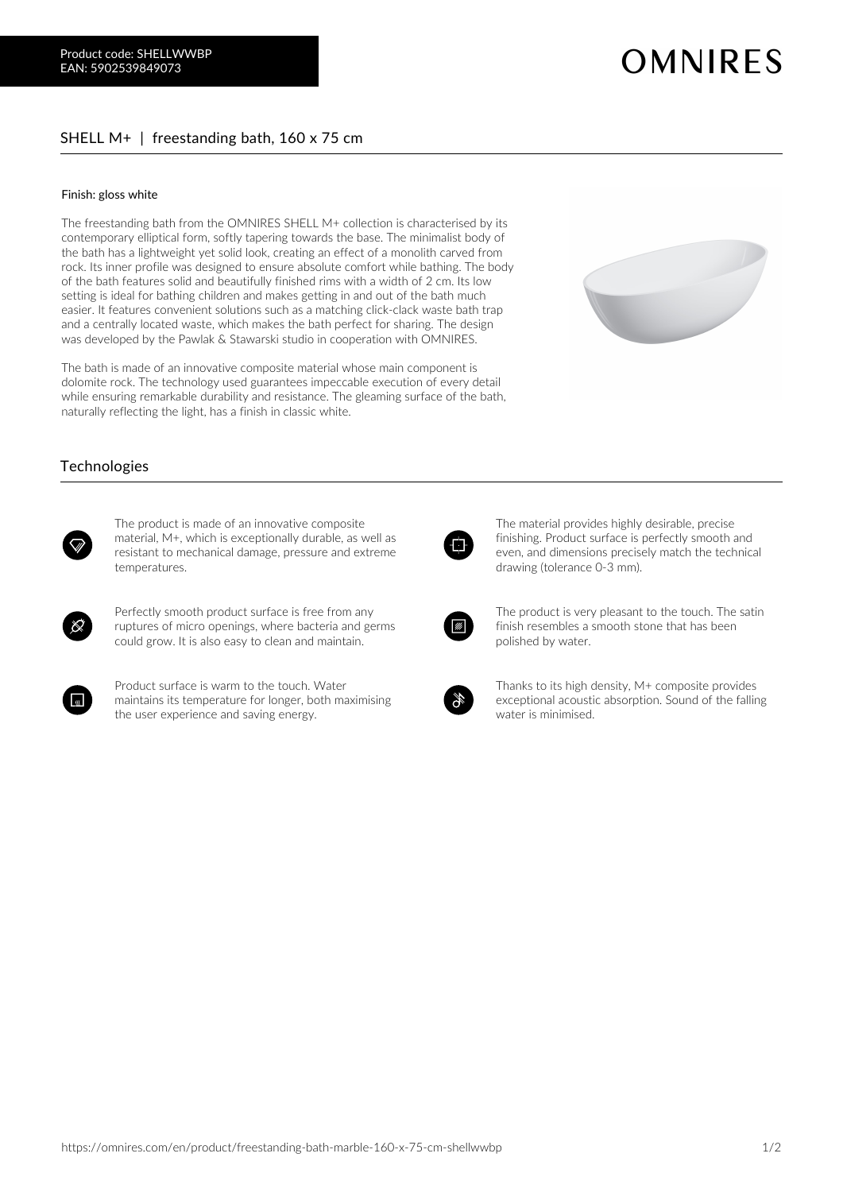## SHELL M+ | freestanding bath, 160 x 75 cm

## Finish: gloss white

The freestanding bath from the OMNIRES SHELL M+ collection is characterised by its contemporary elliptical form, softly tapering towards the base. The minimalist body of the bath has a lightweight yet solid look, creating an effect of a monolith carved from rock. Its inner profile was designed to ensure absolute comfort while bathing. The body of the bath features solid and beautifully finished rims with a width of 2 cm. Its low setting is ideal for bathing children and makes getting in and out of the bath much easier. It features convenient solutions such as a matching click-clack waste bath trap and a centrally located waste, which makes the bath perfect for sharing. The design was developed by the Pawlak & Stawarski studio in cooperation with OMNIRES.

The bath is made of an innovative composite material whose main component is dolomite rock. The technology used guarantees impeccable execution of every detail while ensuring remarkable durability and resistance. The gleaming surface of the bath, naturally reflecting the light, has a finish in classic white.

## **Technologies**



The product is made of an innovative composite material, M+, which is exceptionally durable, as well as resistant to mechanical damage, pressure and extreme temperatures.



Perfectly smooth product surface is free from any ruptures of micro openings, where bacteria and germs could grow. It is also easy to clean and maintain.



Product surface is warm to the touch. Water maintains its temperature for longer, both maximising the user experience and saving energy.

ብ

The material provides highly desirable, precise finishing. Product surface is perfectly smooth and even, and dimensions precisely match the technical drawing (tolerance 0-3 mm).



The product is very pleasant to the touch. The satin finish resembles a smooth stone that has been polished by water.



Thanks to its high density, M+ composite provides exceptional acoustic absorption. Sound of the falling water is minimised.

**OMNIRES**